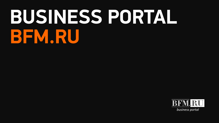# **BUSINESS PORTAL BFM.RU**

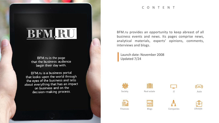

BFM.ru is the page that the business audience begin their day with.

BFM.ru is a business portal that looks upon the world through the eyes of the business and tells about everything that has an impact on business and on the decision-making process.

#### C O N T E N T

BFM.ru provides an opportunity to keep abreast of all business events and news. Its pages comprise news, analytical materials, experts' opinions, comments, interviews and blogs.

Updated 7/24 Launch date: November 2008



Finances









Real estate TT TT Auto





IT



Lifestyle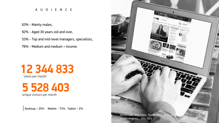#### A U D I E N C E

63% - Mainly males,

92% - Aged 30 years old and over,

53% - Top and mid-level managers, specialists,

76% - Medium and medium + income.

### views per month **12 344 833**

unique visitors per month **5 528 403**

**Desktop – 25% Mobile** – **73% Tablet – 2%**

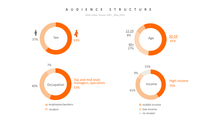#### A U D I E N C E S T R U C T U R E

Web Index. Russia 100+ May 2022

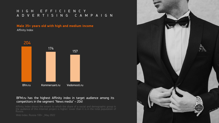#### H I G H E F F I C I E N C Y A D V E R T I S I N G C A M P A I G N

#### **Male 35+ years old with high and medium income** Affinity Index



#### BFM.ru has the highest Affinity index in target audience among its competitors in the segment "News media" – 204!

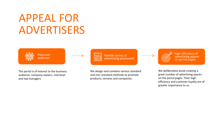## APPEAL FOR ADVERTISERS



The portal is of interest to the business audience: company owners, mid-level and top managers.

Flexible terms of advertising placement

We design and combine various standard and non-standard methods to promote products, services and companies.

High efficiency of advertising spaces on portal pages

We deliberately avoid creating a great number of advertising spaces on the portal pages. Their high efficiency and customer loyalty are of greater importance to us.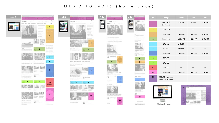#### MEDIA FORMATS (home page)

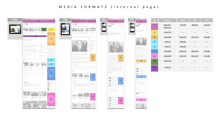#### MEDIA FORMATS (internal page)